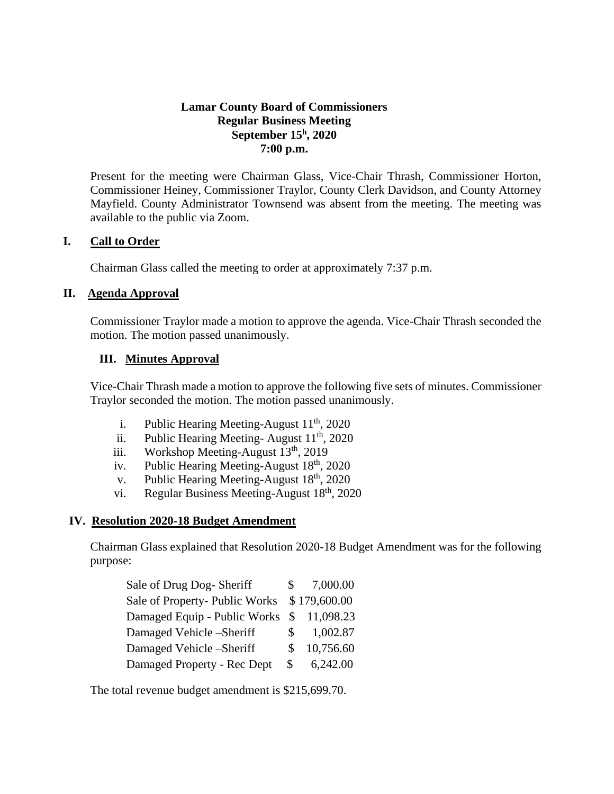### **Lamar County Board of Commissioners Regular Business Meeting September 15<sup>h</sup> , 2020 7:00 p.m.**

Present for the meeting were Chairman Glass, Vice-Chair Thrash, Commissioner Horton, Commissioner Heiney, Commissioner Traylor, County Clerk Davidson, and County Attorney Mayfield. County Administrator Townsend was absent from the meeting. The meeting was available to the public via Zoom.

### **I. Call to Order**

Chairman Glass called the meeting to order at approximately 7:37 p.m.

### **II. Agenda Approval**

Commissioner Traylor made a motion to approve the agenda. Vice-Chair Thrash seconded the motion. The motion passed unanimously.

### **III. Minutes Approval**

Vice-Chair Thrash made a motion to approve the following five sets of minutes. Commissioner Traylor seconded the motion. The motion passed unanimously.

- i. Public Hearing Meeting-August  $11<sup>th</sup>$ , 2020
- ii. Public Hearing Meeting-August  $11<sup>th</sup>$ , 2020
- iii. Workshop Meeting-August  $13<sup>th</sup>$ , 2019
- iv. Public Hearing Meeting-August 18<sup>th</sup>, 2020
- v. Public Hearing Meeting-August 18<sup>th</sup>, 2020
- vi. Regular Business Meeting-August  $18<sup>th</sup>$ , 2020

# **IV. Resolution 2020-18 Budget Amendment**

Chairman Glass explained that Resolution 2020-18 Budget Amendment was for the following purpose:

| Sale of Drug Dog-Sheriff                  | S.            | 7,000.00     |
|-------------------------------------------|---------------|--------------|
| Sale of Property- Public Works            |               | \$179,600.00 |
| Damaged Equip - Public Works \$ 11,098.23 |               |              |
| Damaged Vehicle-Sheriff                   | $\mathcal{S}$ | 1,002.87     |
| Damaged Vehicle-Sheriff                   | S.            | 10,756.60    |
| Damaged Property - Rec Dept               | \$            | 6,242.00     |

The total revenue budget amendment is \$215,699.70.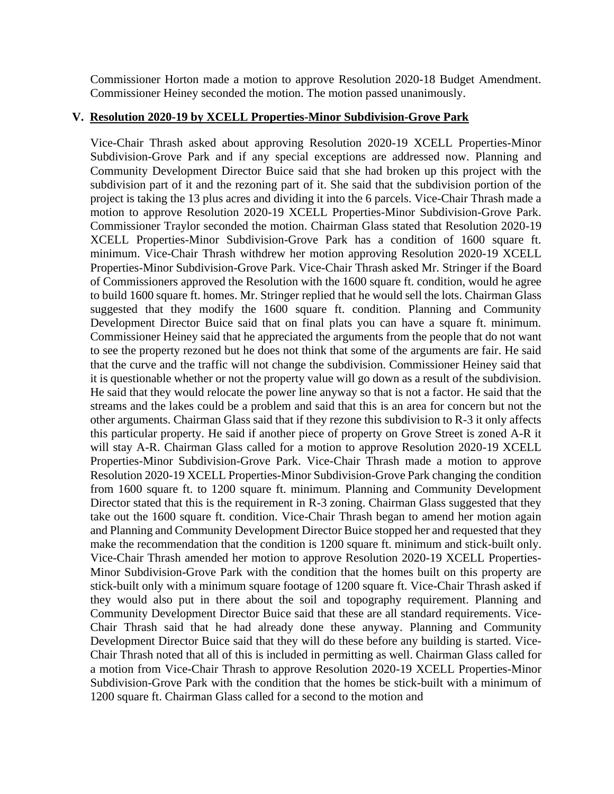Commissioner Horton made a motion to approve Resolution 2020-18 Budget Amendment. Commissioner Heiney seconded the motion. The motion passed unanimously.

#### **V. Resolution 2020-19 by XCELL Properties-Minor Subdivision-Grove Park**

Vice-Chair Thrash asked about approving Resolution 2020-19 XCELL Properties-Minor Subdivision-Grove Park and if any special exceptions are addressed now. Planning and Community Development Director Buice said that she had broken up this project with the subdivision part of it and the rezoning part of it. She said that the subdivision portion of the project is taking the 13 plus acres and dividing it into the 6 parcels. Vice-Chair Thrash made a motion to approve Resolution 2020-19 XCELL Properties-Minor Subdivision-Grove Park. Commissioner Traylor seconded the motion. Chairman Glass stated that Resolution 2020-19 XCELL Properties-Minor Subdivision-Grove Park has a condition of 1600 square ft. minimum. Vice-Chair Thrash withdrew her motion approving Resolution 2020-19 XCELL Properties-Minor Subdivision-Grove Park. Vice-Chair Thrash asked Mr. Stringer if the Board of Commissioners approved the Resolution with the 1600 square ft. condition, would he agree to build 1600 square ft. homes. Mr. Stringer replied that he would sell the lots. Chairman Glass suggested that they modify the 1600 square ft. condition. Planning and Community Development Director Buice said that on final plats you can have a square ft. minimum. Commissioner Heiney said that he appreciated the arguments from the people that do not want to see the property rezoned but he does not think that some of the arguments are fair. He said that the curve and the traffic will not change the subdivision. Commissioner Heiney said that it is questionable whether or not the property value will go down as a result of the subdivision. He said that they would relocate the power line anyway so that is not a factor. He said that the streams and the lakes could be a problem and said that this is an area for concern but not the other arguments. Chairman Glass said that if they rezone this subdivision to R-3 it only affects this particular property. He said if another piece of property on Grove Street is zoned A-R it will stay A-R. Chairman Glass called for a motion to approve Resolution 2020-19 XCELL Properties-Minor Subdivision-Grove Park. Vice-Chair Thrash made a motion to approve Resolution 2020-19 XCELL Properties-Minor Subdivision-Grove Park changing the condition from 1600 square ft. to 1200 square ft. minimum. Planning and Community Development Director stated that this is the requirement in R-3 zoning. Chairman Glass suggested that they take out the 1600 square ft. condition. Vice-Chair Thrash began to amend her motion again and Planning and Community Development Director Buice stopped her and requested that they make the recommendation that the condition is 1200 square ft. minimum and stick-built only. Vice-Chair Thrash amended her motion to approve Resolution 2020-19 XCELL Properties-Minor Subdivision-Grove Park with the condition that the homes built on this property are stick-built only with a minimum square footage of 1200 square ft. Vice-Chair Thrash asked if they would also put in there about the soil and topography requirement. Planning and Community Development Director Buice said that these are all standard requirements. Vice-Chair Thrash said that he had already done these anyway. Planning and Community Development Director Buice said that they will do these before any building is started. Vice-Chair Thrash noted that all of this is included in permitting as well. Chairman Glass called for a motion from Vice-Chair Thrash to approve Resolution 2020-19 XCELL Properties-Minor Subdivision-Grove Park with the condition that the homes be stick-built with a minimum of 1200 square ft. Chairman Glass called for a second to the motion and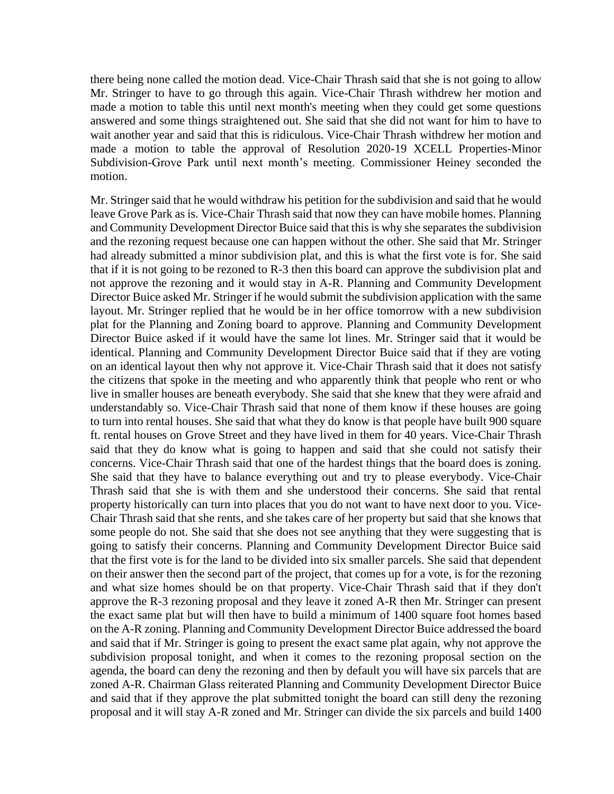there being none called the motion dead. Vice-Chair Thrash said that she is not going to allow Mr. Stringer to have to go through this again. Vice-Chair Thrash withdrew her motion and made a motion to table this until next month's meeting when they could get some questions answered and some things straightened out. She said that she did not want for him to have to wait another year and said that this is ridiculous. Vice-Chair Thrash withdrew her motion and made a motion to table the approval of Resolution 2020-19 XCELL Properties-Minor Subdivision-Grove Park until next month's meeting. Commissioner Heiney seconded the motion.

Mr. Stringer said that he would withdraw his petition for the subdivision and said that he would leave Grove Park as is. Vice-Chair Thrash said that now they can have mobile homes. Planning and Community Development Director Buice said that this is why she separates the subdivision and the rezoning request because one can happen without the other. She said that Mr. Stringer had already submitted a minor subdivision plat, and this is what the first vote is for. She said that if it is not going to be rezoned to R-3 then this board can approve the subdivision plat and not approve the rezoning and it would stay in A-R. Planning and Community Development Director Buice asked Mr. Stringer if he would submit the subdivision application with the same layout. Mr. Stringer replied that he would be in her office tomorrow with a new subdivision plat for the Planning and Zoning board to approve. Planning and Community Development Director Buice asked if it would have the same lot lines. Mr. Stringer said that it would be identical. Planning and Community Development Director Buice said that if they are voting on an identical layout then why not approve it. Vice-Chair Thrash said that it does not satisfy the citizens that spoke in the meeting and who apparently think that people who rent or who live in smaller houses are beneath everybody. She said that she knew that they were afraid and understandably so. Vice-Chair Thrash said that none of them know if these houses are going to turn into rental houses. She said that what they do know is that people have built 900 square ft. rental houses on Grove Street and they have lived in them for 40 years. Vice-Chair Thrash said that they do know what is going to happen and said that she could not satisfy their concerns. Vice-Chair Thrash said that one of the hardest things that the board does is zoning. She said that they have to balance everything out and try to please everybody. Vice-Chair Thrash said that she is with them and she understood their concerns. She said that rental property historically can turn into places that you do not want to have next door to you. Vice-Chair Thrash said that she rents, and she takes care of her property but said that she knows that some people do not. She said that she does not see anything that they were suggesting that is going to satisfy their concerns. Planning and Community Development Director Buice said that the first vote is for the land to be divided into six smaller parcels. She said that dependent on their answer then the second part of the project, that comes up for a vote, is for the rezoning and what size homes should be on that property. Vice-Chair Thrash said that if they don't approve the R-3 rezoning proposal and they leave it zoned A-R then Mr. Stringer can present the exact same plat but will then have to build a minimum of 1400 square foot homes based on the A-R zoning. Planning and Community Development Director Buice addressed the board and said that if Mr. Stringer is going to present the exact same plat again, why not approve the subdivision proposal tonight, and when it comes to the rezoning proposal section on the agenda, the board can deny the rezoning and then by default you will have six parcels that are zoned A-R. Chairman Glass reiterated Planning and Community Development Director Buice and said that if they approve the plat submitted tonight the board can still deny the rezoning proposal and it will stay A-R zoned and Mr. Stringer can divide the six parcels and build 1400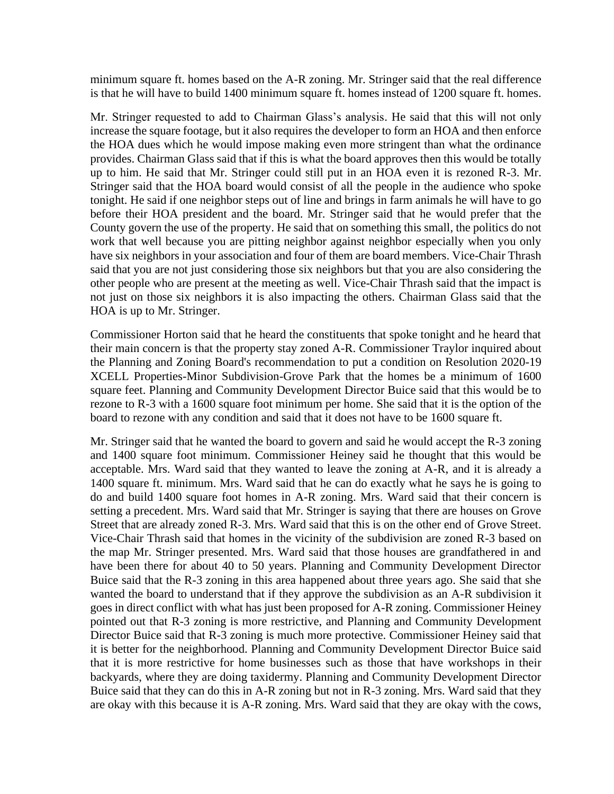minimum square ft. homes based on the A-R zoning. Mr. Stringer said that the real difference is that he will have to build 1400 minimum square ft. homes instead of 1200 square ft. homes.

Mr. Stringer requested to add to Chairman Glass's analysis. He said that this will not only increase the square footage, but it also requires the developer to form an HOA and then enforce the HOA dues which he would impose making even more stringent than what the ordinance provides. Chairman Glass said that if this is what the board approves then this would be totally up to him. He said that Mr. Stringer could still put in an HOA even it is rezoned R-3. Mr. Stringer said that the HOA board would consist of all the people in the audience who spoke tonight. He said if one neighbor steps out of line and brings in farm animals he will have to go before their HOA president and the board. Mr. Stringer said that he would prefer that the County govern the use of the property. He said that on something this small, the politics do not work that well because you are pitting neighbor against neighbor especially when you only have six neighbors in your association and four of them are board members. Vice-Chair Thrash said that you are not just considering those six neighbors but that you are also considering the other people who are present at the meeting as well. Vice-Chair Thrash said that the impact is not just on those six neighbors it is also impacting the others. Chairman Glass said that the HOA is up to Mr. Stringer.

Commissioner Horton said that he heard the constituents that spoke tonight and he heard that their main concern is that the property stay zoned A-R. Commissioner Traylor inquired about the Planning and Zoning Board's recommendation to put a condition on Resolution 2020-19 XCELL Properties-Minor Subdivision-Grove Park that the homes be a minimum of 1600 square feet. Planning and Community Development Director Buice said that this would be to rezone to R-3 with a 1600 square foot minimum per home. She said that it is the option of the board to rezone with any condition and said that it does not have to be 1600 square ft.

Mr. Stringer said that he wanted the board to govern and said he would accept the R-3 zoning and 1400 square foot minimum. Commissioner Heiney said he thought that this would be acceptable. Mrs. Ward said that they wanted to leave the zoning at A-R, and it is already a 1400 square ft. minimum. Mrs. Ward said that he can do exactly what he says he is going to do and build 1400 square foot homes in A-R zoning. Mrs. Ward said that their concern is setting a precedent. Mrs. Ward said that Mr. Stringer is saying that there are houses on Grove Street that are already zoned R-3. Mrs. Ward said that this is on the other end of Grove Street. Vice-Chair Thrash said that homes in the vicinity of the subdivision are zoned R-3 based on the map Mr. Stringer presented. Mrs. Ward said that those houses are grandfathered in and have been there for about 40 to 50 years. Planning and Community Development Director Buice said that the R-3 zoning in this area happened about three years ago. She said that she wanted the board to understand that if they approve the subdivision as an A-R subdivision it goes in direct conflict with what has just been proposed for A-R zoning. Commissioner Heiney pointed out that R-3 zoning is more restrictive, and Planning and Community Development Director Buice said that R-3 zoning is much more protective. Commissioner Heiney said that it is better for the neighborhood. Planning and Community Development Director Buice said that it is more restrictive for home businesses such as those that have workshops in their backyards, where they are doing taxidermy. Planning and Community Development Director Buice said that they can do this in A-R zoning but not in R-3 zoning. Mrs. Ward said that they are okay with this because it is A-R zoning. Mrs. Ward said that they are okay with the cows,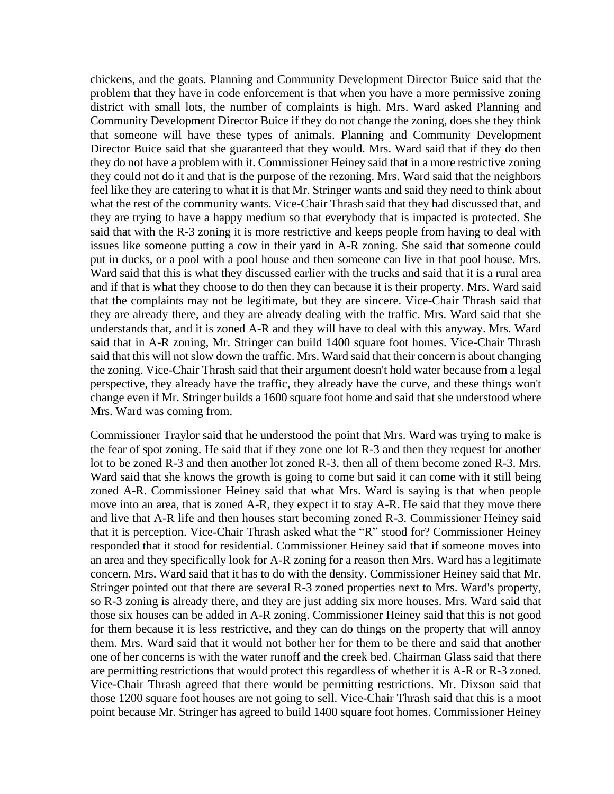chickens, and the goats. Planning and Community Development Director Buice said that the problem that they have in code enforcement is that when you have a more permissive zoning district with small lots, the number of complaints is high. Mrs. Ward asked Planning and Community Development Director Buice if they do not change the zoning, does she they think that someone will have these types of animals. Planning and Community Development Director Buice said that she guaranteed that they would. Mrs. Ward said that if they do then they do not have a problem with it. Commissioner Heiney said that in a more restrictive zoning they could not do it and that is the purpose of the rezoning. Mrs. Ward said that the neighbors feel like they are catering to what it is that Mr. Stringer wants and said they need to think about what the rest of the community wants. Vice-Chair Thrash said that they had discussed that, and they are trying to have a happy medium so that everybody that is impacted is protected. She said that with the R-3 zoning it is more restrictive and keeps people from having to deal with issues like someone putting a cow in their yard in A-R zoning. She said that someone could put in ducks, or a pool with a pool house and then someone can live in that pool house. Mrs. Ward said that this is what they discussed earlier with the trucks and said that it is a rural area and if that is what they choose to do then they can because it is their property. Mrs. Ward said that the complaints may not be legitimate, but they are sincere. Vice-Chair Thrash said that they are already there, and they are already dealing with the traffic. Mrs. Ward said that she understands that, and it is zoned A-R and they will have to deal with this anyway. Mrs. Ward said that in A-R zoning, Mr. Stringer can build 1400 square foot homes. Vice-Chair Thrash said that this will not slow down the traffic. Mrs. Ward said that their concern is about changing the zoning. Vice-Chair Thrash said that their argument doesn't hold water because from a legal perspective, they already have the traffic, they already have the curve, and these things won't change even if Mr. Stringer builds a 1600 square foot home and said that she understood where Mrs. Ward was coming from.

Commissioner Traylor said that he understood the point that Mrs. Ward was trying to make is the fear of spot zoning. He said that if they zone one lot R-3 and then they request for another lot to be zoned R-3 and then another lot zoned R-3, then all of them become zoned R-3. Mrs. Ward said that she knows the growth is going to come but said it can come with it still being zoned A-R. Commissioner Heiney said that what Mrs. Ward is saying is that when people move into an area, that is zoned A-R, they expect it to stay A-R. He said that they move there and live that A-R life and then houses start becoming zoned R-3. Commissioner Heiney said that it is perception. Vice-Chair Thrash asked what the "R" stood for? Commissioner Heiney responded that it stood for residential. Commissioner Heiney said that if someone moves into an area and they specifically look for A-R zoning for a reason then Mrs. Ward has a legitimate concern. Mrs. Ward said that it has to do with the density. Commissioner Heiney said that Mr. Stringer pointed out that there are several R-3 zoned properties next to Mrs. Ward's property, so R-3 zoning is already there, and they are just adding six more houses. Mrs. Ward said that those six houses can be added in A-R zoning. Commissioner Heiney said that this is not good for them because it is less restrictive, and they can do things on the property that will annoy them. Mrs. Ward said that it would not bother her for them to be there and said that another one of her concerns is with the water runoff and the creek bed. Chairman Glass said that there are permitting restrictions that would protect this regardless of whether it is A-R or R-3 zoned. Vice-Chair Thrash agreed that there would be permitting restrictions. Mr. Dixson said that those 1200 square foot houses are not going to sell. Vice-Chair Thrash said that this is a moot point because Mr. Stringer has agreed to build 1400 square foot homes. Commissioner Heiney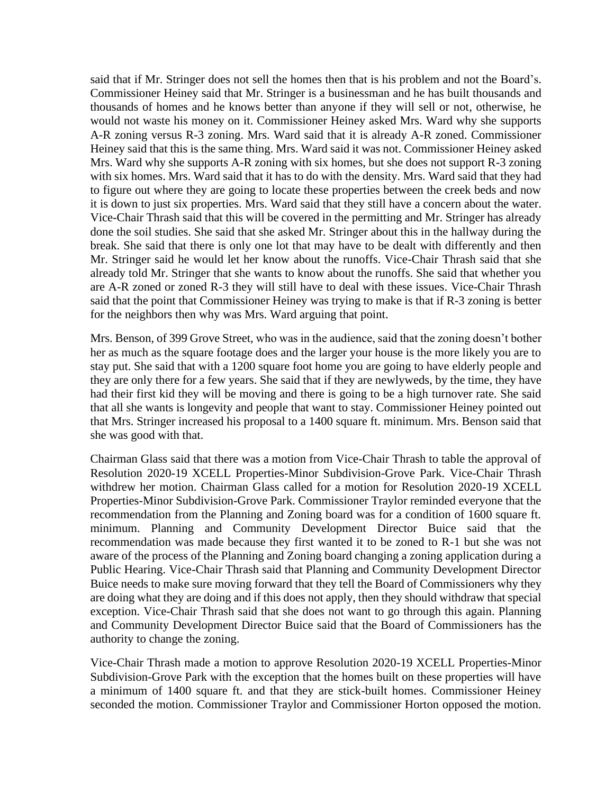said that if Mr. Stringer does not sell the homes then that is his problem and not the Board's. Commissioner Heiney said that Mr. Stringer is a businessman and he has built thousands and thousands of homes and he knows better than anyone if they will sell or not, otherwise, he would not waste his money on it. Commissioner Heiney asked Mrs. Ward why she supports A-R zoning versus R-3 zoning. Mrs. Ward said that it is already A-R zoned. Commissioner Heiney said that this is the same thing. Mrs. Ward said it was not. Commissioner Heiney asked Mrs. Ward why she supports A-R zoning with six homes, but she does not support R-3 zoning with six homes. Mrs. Ward said that it has to do with the density. Mrs. Ward said that they had to figure out where they are going to locate these properties between the creek beds and now it is down to just six properties. Mrs. Ward said that they still have a concern about the water. Vice-Chair Thrash said that this will be covered in the permitting and Mr. Stringer has already done the soil studies. She said that she asked Mr. Stringer about this in the hallway during the break. She said that there is only one lot that may have to be dealt with differently and then Mr. Stringer said he would let her know about the runoffs. Vice-Chair Thrash said that she already told Mr. Stringer that she wants to know about the runoffs. She said that whether you are A-R zoned or zoned R-3 they will still have to deal with these issues. Vice-Chair Thrash said that the point that Commissioner Heiney was trying to make is that if R-3 zoning is better for the neighbors then why was Mrs. Ward arguing that point.

Mrs. Benson, of 399 Grove Street, who was in the audience, said that the zoning doesn't bother her as much as the square footage does and the larger your house is the more likely you are to stay put. She said that with a 1200 square foot home you are going to have elderly people and they are only there for a few years. She said that if they are newlyweds, by the time, they have had their first kid they will be moving and there is going to be a high turnover rate. She said that all she wants is longevity and people that want to stay. Commissioner Heiney pointed out that Mrs. Stringer increased his proposal to a 1400 square ft. minimum. Mrs. Benson said that she was good with that.

Chairman Glass said that there was a motion from Vice-Chair Thrash to table the approval of Resolution 2020-19 XCELL Properties-Minor Subdivision-Grove Park. Vice-Chair Thrash withdrew her motion. Chairman Glass called for a motion for Resolution 2020-19 XCELL Properties-Minor Subdivision-Grove Park. Commissioner Traylor reminded everyone that the recommendation from the Planning and Zoning board was for a condition of 1600 square ft. minimum. Planning and Community Development Director Buice said that the recommendation was made because they first wanted it to be zoned to R-1 but she was not aware of the process of the Planning and Zoning board changing a zoning application during a Public Hearing. Vice-Chair Thrash said that Planning and Community Development Director Buice needs to make sure moving forward that they tell the Board of Commissioners why they are doing what they are doing and if this does not apply, then they should withdraw that special exception. Vice-Chair Thrash said that she does not want to go through this again. Planning and Community Development Director Buice said that the Board of Commissioners has the authority to change the zoning.

Vice-Chair Thrash made a motion to approve Resolution 2020-19 XCELL Properties-Minor Subdivision-Grove Park with the exception that the homes built on these properties will have a minimum of 1400 square ft. and that they are stick-built homes. Commissioner Heiney seconded the motion. Commissioner Traylor and Commissioner Horton opposed the motion.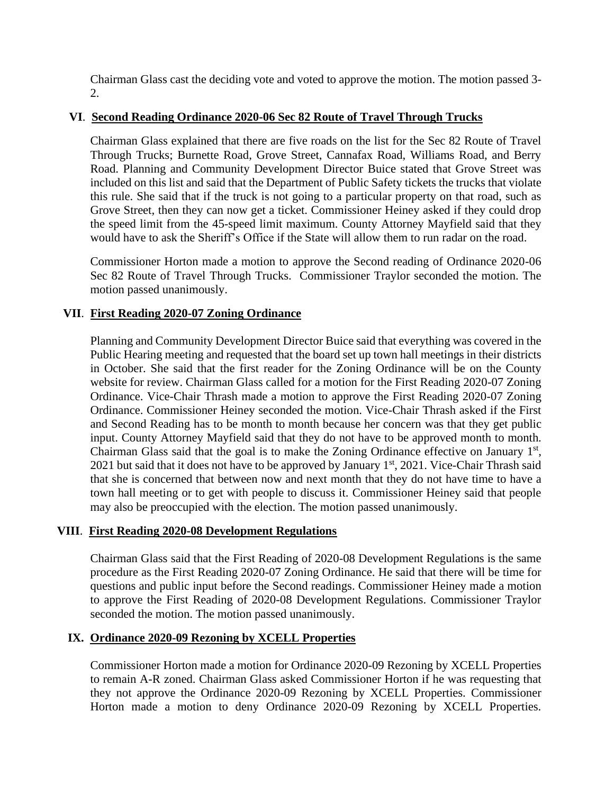Chairman Glass cast the deciding vote and voted to approve the motion. The motion passed 3-  $2<sub>1</sub>$ 

### **VI**. **Second Reading Ordinance 2020-06 Sec 82 Route of Travel Through Trucks**

Chairman Glass explained that there are five roads on the list for the Sec 82 Route of Travel Through Trucks; Burnette Road, Grove Street, Cannafax Road, Williams Road, and Berry Road. Planning and Community Development Director Buice stated that Grove Street was included on this list and said that the Department of Public Safety tickets the trucks that violate this rule. She said that if the truck is not going to a particular property on that road, such as Grove Street, then they can now get a ticket. Commissioner Heiney asked if they could drop the speed limit from the 45-speed limit maximum. County Attorney Mayfield said that they would have to ask the Sheriff's Office if the State will allow them to run radar on the road.

Commissioner Horton made a motion to approve the Second reading of Ordinance 2020-06 Sec 82 Route of Travel Through Trucks. Commissioner Traylor seconded the motion. The motion passed unanimously.

# **VII**. **First Reading 2020-07 Zoning Ordinance**

Planning and Community Development Director Buice said that everything was covered in the Public Hearing meeting and requested that the board set up town hall meetings in their districts in October. She said that the first reader for the Zoning Ordinance will be on the County website for review. Chairman Glass called for a motion for the First Reading 2020-07 Zoning Ordinance. Vice-Chair Thrash made a motion to approve the First Reading 2020-07 Zoning Ordinance. Commissioner Heiney seconded the motion. Vice-Chair Thrash asked if the First and Second Reading has to be month to month because her concern was that they get public input. County Attorney Mayfield said that they do not have to be approved month to month. Chairman Glass said that the goal is to make the Zoning Ordinance effective on January  $1<sup>st</sup>$ , 2021 but said that it does not have to be approved by January  $1<sup>st</sup>$ , 2021. Vice-Chair Thrash said that she is concerned that between now and next month that they do not have time to have a town hall meeting or to get with people to discuss it. Commissioner Heiney said that people may also be preoccupied with the election. The motion passed unanimously.

#### **VIII**. **First Reading 2020-08 Development Regulations**

Chairman Glass said that the First Reading of 2020-08 Development Regulations is the same procedure as the First Reading 2020-07 Zoning Ordinance. He said that there will be time for questions and public input before the Second readings. Commissioner Heiney made a motion to approve the First Reading of 2020-08 Development Regulations. Commissioner Traylor seconded the motion. The motion passed unanimously.

# **IX. Ordinance 2020-09 Rezoning by XCELL Properties**

Commissioner Horton made a motion for Ordinance 2020-09 Rezoning by XCELL Properties to remain A-R zoned. Chairman Glass asked Commissioner Horton if he was requesting that they not approve the Ordinance 2020-09 Rezoning by XCELL Properties. Commissioner Horton made a motion to deny Ordinance 2020-09 Rezoning by XCELL Properties.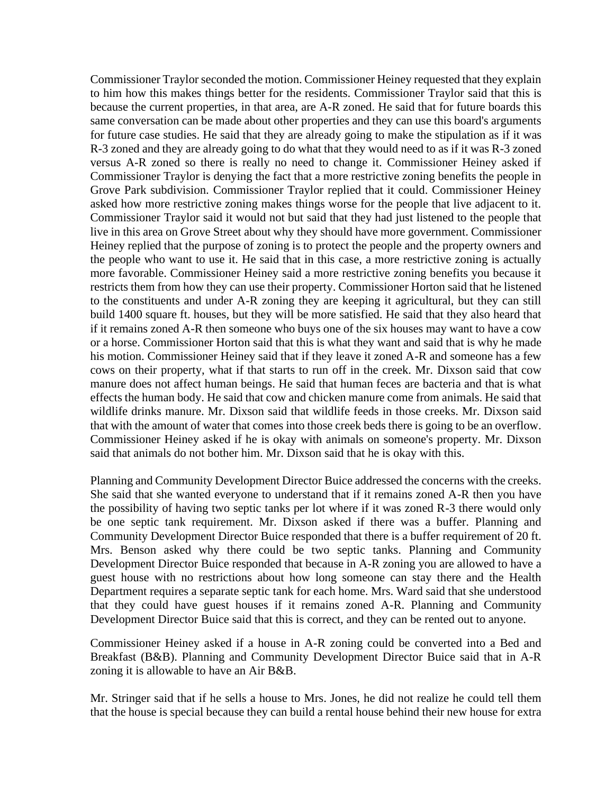Commissioner Traylor seconded the motion. Commissioner Heiney requested that they explain to him how this makes things better for the residents. Commissioner Traylor said that this is because the current properties, in that area, are A-R zoned. He said that for future boards this same conversation can be made about other properties and they can use this board's arguments for future case studies. He said that they are already going to make the stipulation as if it was R-3 zoned and they are already going to do what that they would need to as if it was R-3 zoned versus A-R zoned so there is really no need to change it. Commissioner Heiney asked if Commissioner Traylor is denying the fact that a more restrictive zoning benefits the people in Grove Park subdivision. Commissioner Traylor replied that it could. Commissioner Heiney asked how more restrictive zoning makes things worse for the people that live adjacent to it. Commissioner Traylor said it would not but said that they had just listened to the people that live in this area on Grove Street about why they should have more government. Commissioner Heiney replied that the purpose of zoning is to protect the people and the property owners and the people who want to use it. He said that in this case, a more restrictive zoning is actually more favorable. Commissioner Heiney said a more restrictive zoning benefits you because it restricts them from how they can use their property. Commissioner Horton said that he listened to the constituents and under A-R zoning they are keeping it agricultural, but they can still build 1400 square ft. houses, but they will be more satisfied. He said that they also heard that if it remains zoned A-R then someone who buys one of the six houses may want to have a cow or a horse. Commissioner Horton said that this is what they want and said that is why he made his motion. Commissioner Heiney said that if they leave it zoned A-R and someone has a few cows on their property, what if that starts to run off in the creek. Mr. Dixson said that cow manure does not affect human beings. He said that human feces are bacteria and that is what effects the human body. He said that cow and chicken manure come from animals. He said that wildlife drinks manure. Mr. Dixson said that wildlife feeds in those creeks. Mr. Dixson said that with the amount of water that comes into those creek beds there is going to be an overflow. Commissioner Heiney asked if he is okay with animals on someone's property. Mr. Dixson said that animals do not bother him. Mr. Dixson said that he is okay with this.

Planning and Community Development Director Buice addressed the concerns with the creeks. She said that she wanted everyone to understand that if it remains zoned A-R then you have the possibility of having two septic tanks per lot where if it was zoned R-3 there would only be one septic tank requirement. Mr. Dixson asked if there was a buffer. Planning and Community Development Director Buice responded that there is a buffer requirement of 20 ft. Mrs. Benson asked why there could be two septic tanks. Planning and Community Development Director Buice responded that because in A-R zoning you are allowed to have a guest house with no restrictions about how long someone can stay there and the Health Department requires a separate septic tank for each home. Mrs. Ward said that she understood that they could have guest houses if it remains zoned A-R. Planning and Community Development Director Buice said that this is correct, and they can be rented out to anyone.

Commissioner Heiney asked if a house in A-R zoning could be converted into a Bed and Breakfast (B&B). Planning and Community Development Director Buice said that in A-R zoning it is allowable to have an Air B&B.

Mr. Stringer said that if he sells a house to Mrs. Jones, he did not realize he could tell them that the house is special because they can build a rental house behind their new house for extra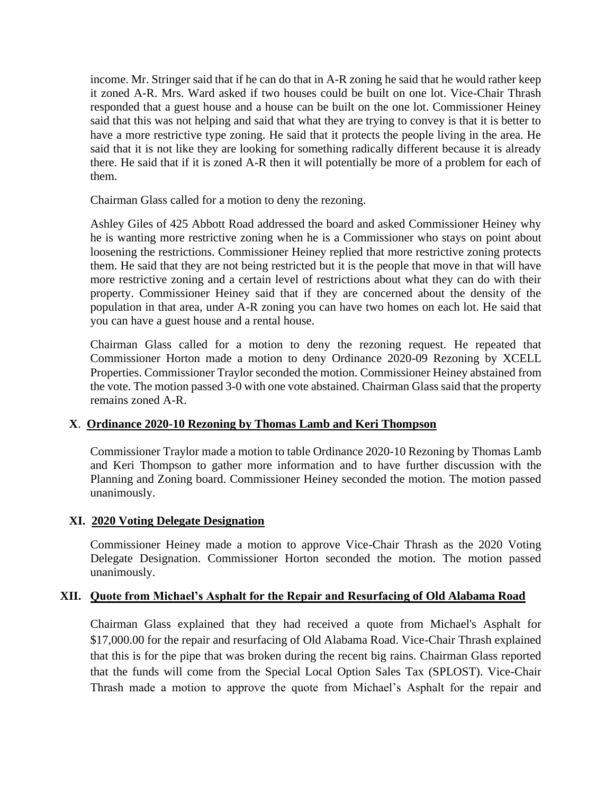income. Mr. Stringer said that if he can do that in A-R zoning he said that he would rather keep it zoned A-R. Mrs. Ward asked if two houses could be built on one lot. Vice-Chair Thrash responded that a guest house and a house can be built on the one lot. Commissioner Heiney said that this was not helping and said that what they are trying to convey is that it is better to have a more restrictive type zoning. He said that it protects the people living in the area. He said that it is not like they are looking for something radically different because it is already there. He said that if it is zoned A-R then it will potentially be more of a problem for each of them.

Chairman Glass called for a motion to deny the rezoning.

Ashley Giles of 425 Abbott Road addressed the board and asked Commissioner Heiney why he is wanting more restrictive zoning when he is a Commissioner who stays on point about loosening the restrictions. Commissioner Heiney replied that more restrictive zoning protects them. He said that they are not being restricted but it is the people that move in that will have more restrictive zoning and a certain level of restrictions about what they can do with their property. Commissioner Heiney said that if they are concerned about the density of the population in that area, under A-R zoning you can have two homes on each lot. He said that you can have a guest house and a rental house.

Chairman Glass called for a motion to deny the rezoning request. He repeated that Commissioner Horton made a motion to deny Ordinance 2020-09 Rezoning by XCELL Properties. Commissioner Traylor seconded the motion. Commissioner Heiney abstained from the vote. The motion passed 3-0 with one vote abstained. Chairman Glass said that the property remains zoned A-R.

# **X**. **Ordinance 2020-10 Rezoning by Thomas Lamb and Keri Thompson**

Commissioner Traylor made a motion to table Ordinance 2020-10 Rezoning by Thomas Lamb and Keri Thompson to gather more information and to have further discussion with the Planning and Zoning board. Commissioner Heiney seconded the motion. The motion passed unanimously.

#### **XI. 2020 Voting Delegate Designation**

Commissioner Heiney made a motion to approve Vice-Chair Thrash as the 2020 Voting Delegate Designation. Commissioner Horton seconded the motion. The motion passed unanimously.

# **XII. Quote from Michael's Asphalt for the Repair and Resurfacing of Old Alabama Road**

Chairman Glass explained that they had received a quote from Michael's Asphalt for \$17,000.00 for the repair and resurfacing of Old Alabama Road. Vice-Chair Thrash explained that this is for the pipe that was broken during the recent big rains. Chairman Glass reported that the funds will come from the Special Local Option Sales Tax (SPLOST). Vice-Chair Thrash made a motion to approve the quote from Michael's Asphalt for the repair and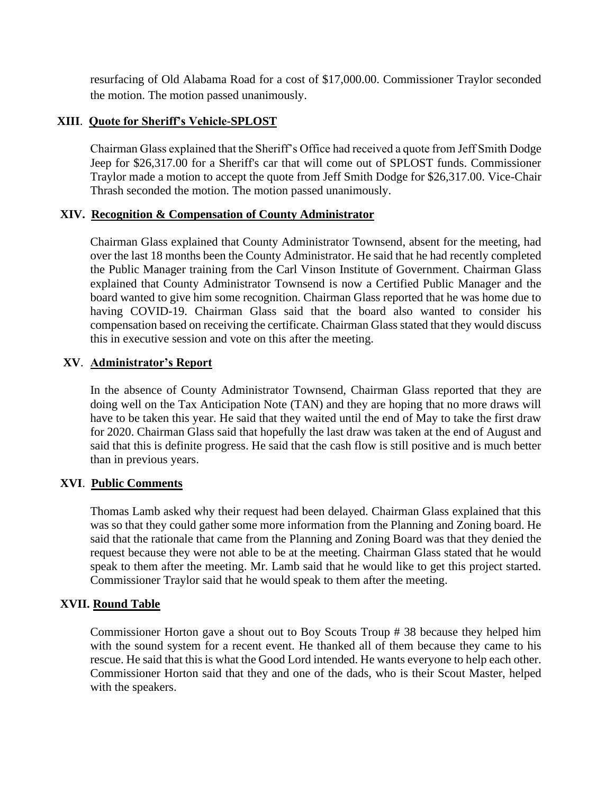resurfacing of Old Alabama Road for a cost of \$17,000.00. Commissioner Traylor seconded the motion. The motion passed unanimously.

# **XIII**. **Quote for Sheriff's Vehicle-SPLOST**

Chairman Glass explained that the Sheriff's Office had received a quote from Jeff Smith Dodge Jeep for \$26,317.00 for a Sheriff's car that will come out of SPLOST funds. Commissioner Traylor made a motion to accept the quote from Jeff Smith Dodge for \$26,317.00. Vice-Chair Thrash seconded the motion. The motion passed unanimously.

### **XIV. Recognition & Compensation of County Administrator**

Chairman Glass explained that County Administrator Townsend, absent for the meeting, had over the last 18 months been the County Administrator. He said that he had recently completed the Public Manager training from the Carl Vinson Institute of Government. Chairman Glass explained that County Administrator Townsend is now a Certified Public Manager and the board wanted to give him some recognition. Chairman Glass reported that he was home due to having COVID-19. Chairman Glass said that the board also wanted to consider his compensation based on receiving the certificate. Chairman Glass stated that they would discuss this in executive session and vote on this after the meeting.

### **XV**. **Administrator's Report**

In the absence of County Administrator Townsend, Chairman Glass reported that they are doing well on the Tax Anticipation Note (TAN) and they are hoping that no more draws will have to be taken this year. He said that they waited until the end of May to take the first draw for 2020. Chairman Glass said that hopefully the last draw was taken at the end of August and said that this is definite progress. He said that the cash flow is still positive and is much better than in previous years.

# **XVI**. **Public Comments**

Thomas Lamb asked why their request had been delayed. Chairman Glass explained that this was so that they could gather some more information from the Planning and Zoning board. He said that the rationale that came from the Planning and Zoning Board was that they denied the request because they were not able to be at the meeting. Chairman Glass stated that he would speak to them after the meeting. Mr. Lamb said that he would like to get this project started. Commissioner Traylor said that he would speak to them after the meeting.

#### **XVII. Round Table**

Commissioner Horton gave a shout out to Boy Scouts Troup # 38 because they helped him with the sound system for a recent event. He thanked all of them because they came to his rescue. He said that this is what the Good Lord intended. He wants everyone to help each other. Commissioner Horton said that they and one of the dads, who is their Scout Master, helped with the speakers.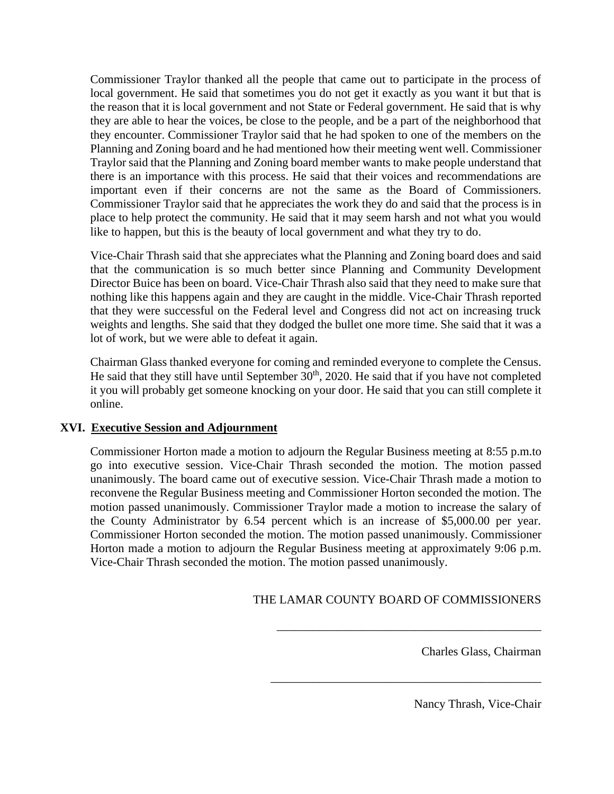Commissioner Traylor thanked all the people that came out to participate in the process of local government. He said that sometimes you do not get it exactly as you want it but that is the reason that it is local government and not State or Federal government. He said that is why they are able to hear the voices, be close to the people, and be a part of the neighborhood that they encounter. Commissioner Traylor said that he had spoken to one of the members on the Planning and Zoning board and he had mentioned how their meeting went well. Commissioner Traylor said that the Planning and Zoning board member wants to make people understand that there is an importance with this process. He said that their voices and recommendations are important even if their concerns are not the same as the Board of Commissioners. Commissioner Traylor said that he appreciates the work they do and said that the process is in place to help protect the community. He said that it may seem harsh and not what you would like to happen, but this is the beauty of local government and what they try to do.

Vice-Chair Thrash said that she appreciates what the Planning and Zoning board does and said that the communication is so much better since Planning and Community Development Director Buice has been on board. Vice-Chair Thrash also said that they need to make sure that nothing like this happens again and they are caught in the middle. Vice-Chair Thrash reported that they were successful on the Federal level and Congress did not act on increasing truck weights and lengths. She said that they dodged the bullet one more time. She said that it was a lot of work, but we were able to defeat it again.

Chairman Glass thanked everyone for coming and reminded everyone to complete the Census. He said that they still have until September  $30<sup>th</sup>$ , 2020. He said that if you have not completed it you will probably get someone knocking on your door. He said that you can still complete it online.

# **XVI. Executive Session and Adjournment**

Commissioner Horton made a motion to adjourn the Regular Business meeting at 8:55 p.m.to go into executive session. Vice-Chair Thrash seconded the motion. The motion passed unanimously. The board came out of executive session. Vice-Chair Thrash made a motion to reconvene the Regular Business meeting and Commissioner Horton seconded the motion. The motion passed unanimously. Commissioner Traylor made a motion to increase the salary of the County Administrator by 6.54 percent which is an increase of \$5,000.00 per year. Commissioner Horton seconded the motion. The motion passed unanimously. Commissioner Horton made a motion to adjourn the Regular Business meeting at approximately 9:06 p.m. Vice-Chair Thrash seconded the motion. The motion passed unanimously.

# THE LAMAR COUNTY BOARD OF COMMISSIONERS

\_\_\_\_\_\_\_\_\_\_\_\_\_\_\_\_\_\_\_\_\_\_\_\_\_\_\_\_\_\_\_\_\_\_\_\_\_\_\_\_\_\_\_\_

\_\_\_\_\_\_\_\_\_\_\_\_\_\_\_\_\_\_\_\_\_\_\_\_\_\_\_\_\_\_\_\_\_\_\_\_\_\_\_\_\_\_\_\_\_

Charles Glass, Chairman

Nancy Thrash, Vice-Chair